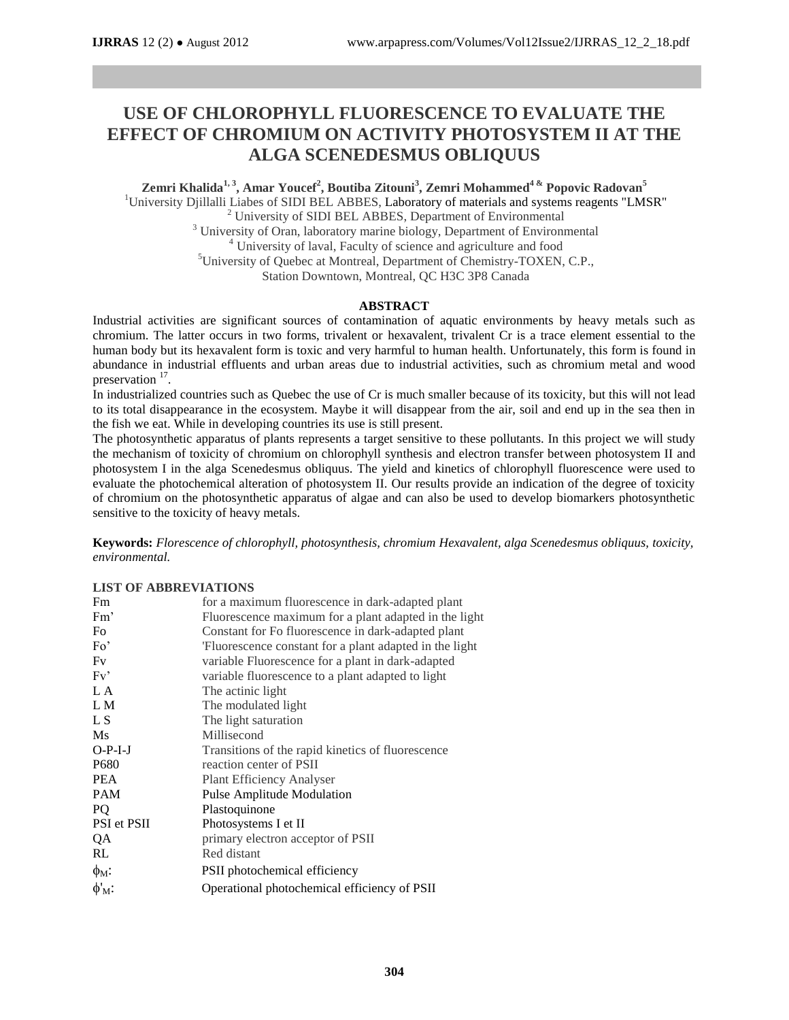# **USE OF CHLOROPHYLL FLUORESCENCE TO EVALUATE THE EFFECT OF CHROMIUM ON ACTIVITY PHOTOSYSTEM II AT THE ALGA SCENEDESMUS OBLIQUUS**

**Zemri Khalida1, 3, Amar Youcef<sup>2</sup> , Boutiba Zitouni<sup>3</sup> , Zemri Mohammed<sup>4</sup> & Popovic Radovan<sup>5</sup>** <sup>1</sup>University Djillalli Liabes of SIDI BEL ABBES, Laboratory of materials and systems reagents "LMSR" <sup>2</sup> University of SIDI BEL ABBES, Department of Environmental <sup>3</sup> University of Oran, laboratory marine biology, Department of Environmental <sup>4</sup> University of laval, Faculty of science and agriculture and food <sup>5</sup>University of Quebec at Montreal, Department of Chemistry-TOXEN, C.P., Station Downtown, Montreal, QC H3C 3P8 Canada

# **ABSTRACT**

Industrial activities are significant sources of contamination of aquatic environments by heavy metals such as chromium. The latter occurs in two forms, trivalent or hexavalent, trivalent Cr is a trace element essential to the human body but its hexavalent form is toxic and very harmful to human health. Unfortunately, this form is found in abundance in industrial effluents and urban areas due to industrial activities, such as chromium metal and wood preservation  $17$ .

In industrialized countries such as Quebec the use of Cr is much smaller because of its toxicity, but this will not lead to its total disappearance in the ecosystem. Maybe it will disappear from the air, soil and end up in the sea then in the fish we eat. While in developing countries its use is still present.

The photosynthetic apparatus of plants represents a target sensitive to these pollutants. In this project we will study the mechanism of toxicity of chromium on chlorophyll synthesis and electron transfer between photosystem II and photosystem I in the alga Scenedesmus obliquus. The yield and kinetics of chlorophyll fluorescence were used to evaluate the photochemical alteration of photosystem II. Our results provide an indication of the degree of toxicity of chromium on the photosynthetic apparatus of algae and can also be used to develop biomarkers photosynthetic sensitive to the toxicity of heavy metals.

**Keywords:** *Florescence of chlorophyll, photosynthesis, chromium Hexavalent, alga Scenedesmus obliquus, toxicity, environmental.*

# **LIST OF ABBREVIATIONS**

| Fm                     | for a maximum fluorescence in dark-adapted plant       |
|------------------------|--------------------------------------------------------|
| Fm'                    | Fluorescence maximum for a plant adapted in the light  |
| Fo                     | Constant for Fo fluorescence in dark-adapted plant     |
| Fo'                    | Fluorescence constant for a plant adapted in the light |
| Fv                     | variable Fluorescence for a plant in dark-adapted      |
| Fv'                    | variable fluorescence to a plant adapted to light      |
| L A                    | The actinic light                                      |
| L M                    | The modulated light                                    |
| L S                    | The light saturation                                   |
| Ms                     | Millisecond                                            |
| $O-P-I-J$              | Transitions of the rapid kinetics of fluorescence      |
| P680                   | reaction center of PSII                                |
| <b>PEA</b>             | <b>Plant Efficiency Analyser</b>                       |
| <b>PAM</b>             | Pulse Amplitude Modulation                             |
| PQ                     | Plastoquinone                                          |
| PSI et PSII            | Photosystems I et II                                   |
| QA                     | primary electron acceptor of PSII                      |
| RL                     | Red distant                                            |
| $\phi_M$ :             | PSII photochemical efficiency                          |
| $\phi'_{\mathrm{M}}$ : | Operational photochemical efficiency of PSII           |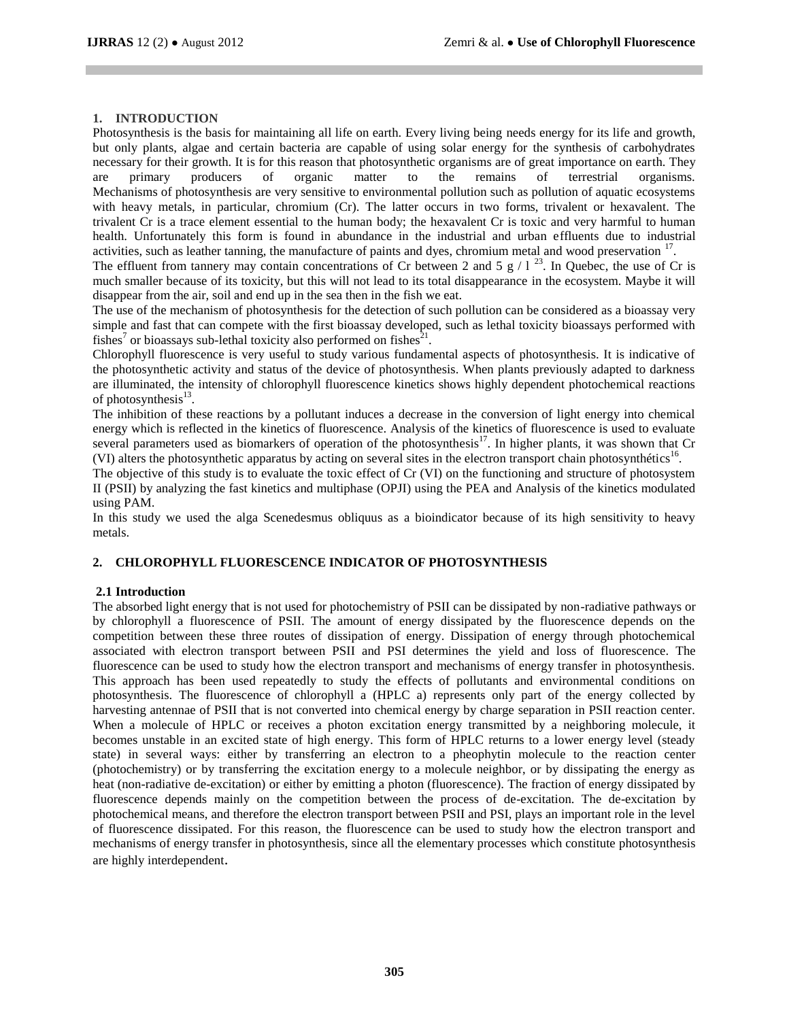# **1. INTRODUCTION**

Photosynthesis is the basis for maintaining all life on earth. Every living being needs energy for its life and growth, but only plants, algae and certain bacteria are capable of using solar energy for the synthesis of carbohydrates necessary for their growth. It is for this reason that photosynthetic organisms are of great importance on earth. They are primary producers of organic matter to the remains of terrestrial organisms. are primary producers of organic matter to the remains of terrestrial organisms. Mechanisms of photosynthesis are very sensitive to environmental pollution such as pollution of aquatic ecosystems with heavy metals, in particular, chromium (Cr). The latter occurs in two forms, trivalent or hexavalent. The trivalent Cr is a trace element essential to the human body; the hexavalent Cr is toxic and very harmful to human health. Unfortunately this form is found in abundance in the industrial and urban effluents due to industrial activities, such as leather tanning, the manufacture of paints and dyes, chromium metal and wood preservation <sup>17</sup>.

The effluent from tannery may contain concentrations of Cr between 2 and 5  $g / 1^{23}$ . In Quebec, the use of Cr is much smaller because of its toxicity, but this will not lead to its total disappearance in the ecosystem. Maybe it will disappear from the air, soil and end up in the sea then in the fish we eat.

The use of the mechanism of photosynthesis for the detection of such pollution can be considered as a bioassay very simple and fast that can compete with the first bioassay developed, such as lethal toxicity bioassays performed with fishes<sup>7</sup> or bioassays sub-lethal toxicity also performed on fishes<sup>21</sup>.

Chlorophyll fluorescence is very useful to study various fundamental aspects of photosynthesis. It is indicative of the photosynthetic activity and status of the device of photosynthesis. When plants previously adapted to darkness are illuminated, the intensity of chlorophyll fluorescence kinetics shows highly dependent photochemical reactions of photosynthesis<sup>13</sup>.

The inhibition of these reactions by a pollutant induces a decrease in the conversion of light energy into chemical energy which is reflected in the kinetics of fluorescence. Analysis of the kinetics of fluorescence is used to evaluate several parameters used as biomarkers of operation of the photosynthesis $^{17}$ . In higher plants, it was shown that Cr (VI) alters the photosynthetic apparatus by acting on several sites in the electron transport chain photosynthétics<sup>16</sup>.

The objective of this study is to evaluate the toxic effect of Cr (VI) on the functioning and structure of photosystem II (PSII) by analyzing the fast kinetics and multiphase (OPJI) using the PEA and Analysis of the kinetics modulated using PAM.

In this study we used the alga Scenedesmus obliquus as a bioindicator because of its high sensitivity to heavy metals.

# **2. CHLOROPHYLL FLUORESCENCE INDICATOR OF PHOTOSYNTHESIS**

# **2.1 Introduction**

The absorbed light energy that is not used for photochemistry of PSII can be dissipated by non-radiative pathways or by chlorophyll a fluorescence of PSII. The amount of energy dissipated by the fluorescence depends on the competition between these three routes of dissipation of energy. Dissipation of energy through photochemical associated with electron transport between PSII and PSI determines the yield and loss of fluorescence. The fluorescence can be used to study how the electron transport and mechanisms of energy transfer in photosynthesis. This approach has been used repeatedly to study the effects of pollutants and environmental conditions on photosynthesis. The fluorescence of chlorophyll a (HPLC a) represents only part of the energy collected by harvesting antennae of PSII that is not converted into chemical energy by charge separation in PSII reaction center. When a molecule of HPLC or receives a photon excitation energy transmitted by a neighboring molecule, it becomes unstable in an excited state of high energy. This form of HPLC returns to a lower energy level (steady state) in several ways: either by transferring an electron to a pheophytin molecule to the reaction center (photochemistry) or by transferring the excitation energy to a molecule neighbor, or by dissipating the energy as heat (non-radiative de-excitation) or either by emitting a photon (fluorescence). The fraction of energy dissipated by fluorescence depends mainly on the competition between the process of de-excitation. The de-excitation by photochemical means, and therefore the electron transport between PSII and PSI, plays an important role in the level of fluorescence dissipated. For this reason, the fluorescence can be used to study how the electron transport and mechanisms of energy transfer in photosynthesis, since all the elementary processes which constitute photosynthesis are highly interdependent.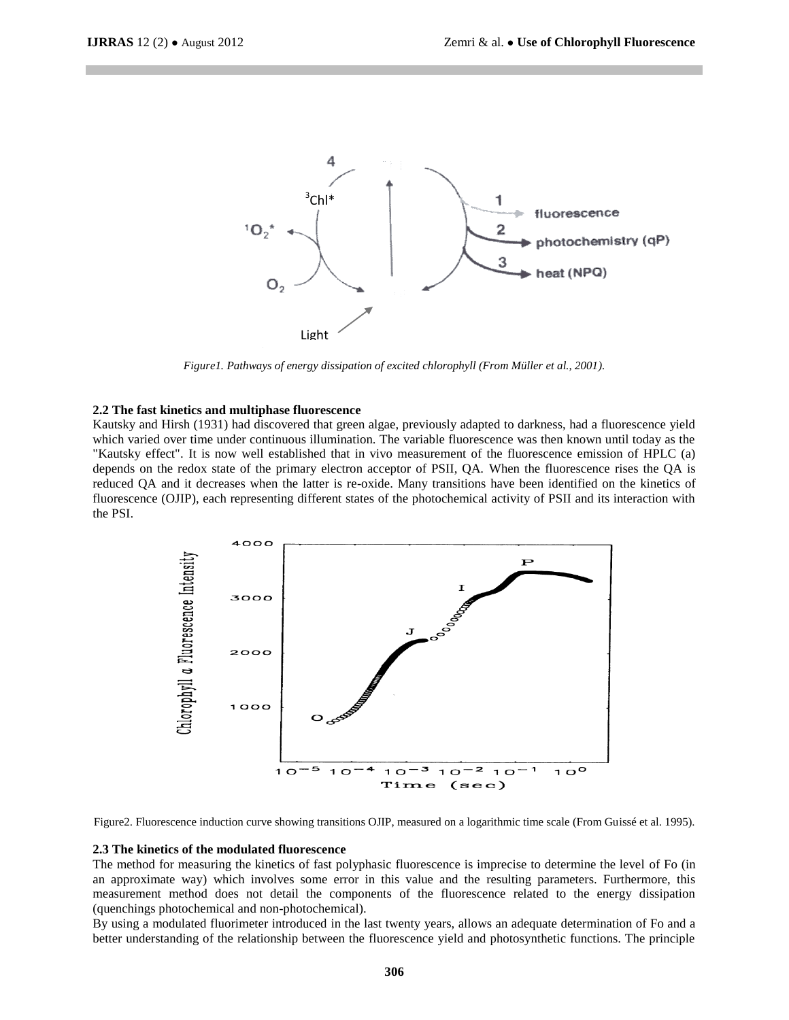

*Figure1. Pathways of energy dissipation of excited chlorophyll (From Müller et al., 2001).*

#### **2.2 The fast kinetics and multiphase fluorescence**

Kautsky and Hirsh (1931) had discovered that green algae, previously adapted to darkness, had a fluorescence yield which varied over time under continuous illumination. The variable fluorescence was then known until today as the "Kautsky effect". It is now well established that in vivo measurement of the fluorescence emission of HPLC (a) depends on the redox state of the primary electron acceptor of PSII, QA. When the fluorescence rises the QA is reduced QA and it decreases when the latter is re-oxide. Many transitions have been identified on the kinetics of fluorescence (OJIP), each representing different states of the photochemical activity of PSII and its interaction with the PSI.



Figure2. Fluorescence induction curve showing transitions OJIP, measured on a logarithmic time scale (From Guissé et al. 1995).

#### **2.3 The kinetics of the modulated fluorescence**

The method for measuring the kinetics of fast polyphasic fluorescence is imprecise to determine the level of Fo (in an approximate way) which involves some error in this value and the resulting parameters. Furthermore, this measurement method does not detail the components of the fluorescence related to the energy dissipation (quenchings photochemical and non-photochemical).

By using a modulated fluorimeter introduced in the last twenty years, allows an adequate determination of Fo and a better understanding of the relationship between the fluorescence yield and photosynthetic functions. The principle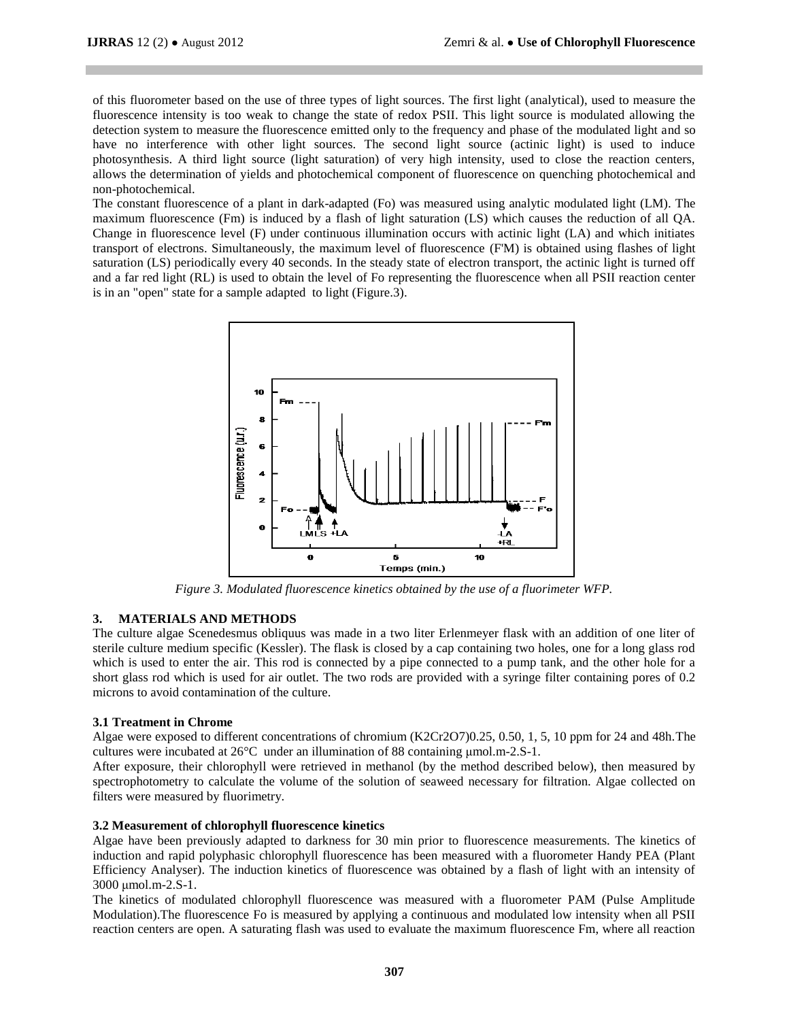of this fluorometer based on the use of three types of light sources. The first light (analytical), used to measure the fluorescence intensity is too weak to change the state of redox PSII. This light source is modulated allowing the detection system to measure the fluorescence emitted only to the frequency and phase of the modulated light and so have no interference with other light sources. The second light source (actinic light) is used to induce photosynthesis. A third light source (light saturation) of very high intensity, used to close the reaction centers, allows the determination of yields and photochemical component of fluorescence on quenching photochemical and non-photochemical.

The constant fluorescence of a plant in dark-adapted (Fo) was measured using analytic modulated light (LM). The maximum fluorescence (Fm) is induced by a flash of light saturation (LS) which causes the reduction of all QA. Change in fluorescence level (F) under continuous illumination occurs with actinic light (LA) and which initiates transport of electrons. Simultaneously, the maximum level of fluorescence (F'M) is obtained using flashes of light saturation (LS) periodically every 40 seconds. In the steady state of electron transport, the actinic light is turned off and a far red light (RL) is used to obtain the level of Fo representing the fluorescence when all PSII reaction center is in an "open" state for a sample adapted to light (Figure.3).



*Figure 3. Modulated fluorescence kinetics obtained by the use of a fluorimeter WFP.*

# **3. MATERIALS AND METHODS**

The culture algae Scenedesmus obliquus was made in a two liter Erlenmeyer flask with an addition of one liter of sterile culture medium specific (Kessler). The flask is closed by a cap containing two holes, one for a long glass rod which is used to enter the air. This rod is connected by a pipe connected to a pump tank, and the other hole for a short glass rod which is used for air outlet. The two rods are provided with a syringe filter containing pores of 0.2 microns to avoid contamination of the culture.

#### **3.1 Treatment in Chrome**

Algae were exposed to different concentrations of chromium (K2Cr2O7)0.25, 0.50, 1, 5, 10 ppm for 24 and 48h.The cultures were incubated at 26°C under an illumination of 88 containing μmol.m-2.S-1.

After exposure, their chlorophyll were retrieved in methanol (by the method described below), then measured by spectrophotometry to calculate the volume of the solution of seaweed necessary for filtration. Algae collected on filters were measured by fluorimetry.

#### **3.2 Measurement of chlorophyll fluorescence kinetics**

Algae have been previously adapted to darkness for 30 min prior to fluorescence measurements. The kinetics of induction and rapid polyphasic chlorophyll fluorescence has been measured with a fluorometer Handy PEA (Plant Efficiency Analyser). The induction kinetics of fluorescence was obtained by a flash of light with an intensity of 3000 μmol.m-2.S-1.

The kinetics of modulated chlorophyll fluorescence was measured with a fluorometer PAM (Pulse Amplitude Modulation).The fluorescence Fo is measured by applying a continuous and modulated low intensity when all PSII reaction centers are open. A saturating flash was used to evaluate the maximum fluorescence Fm, where all reaction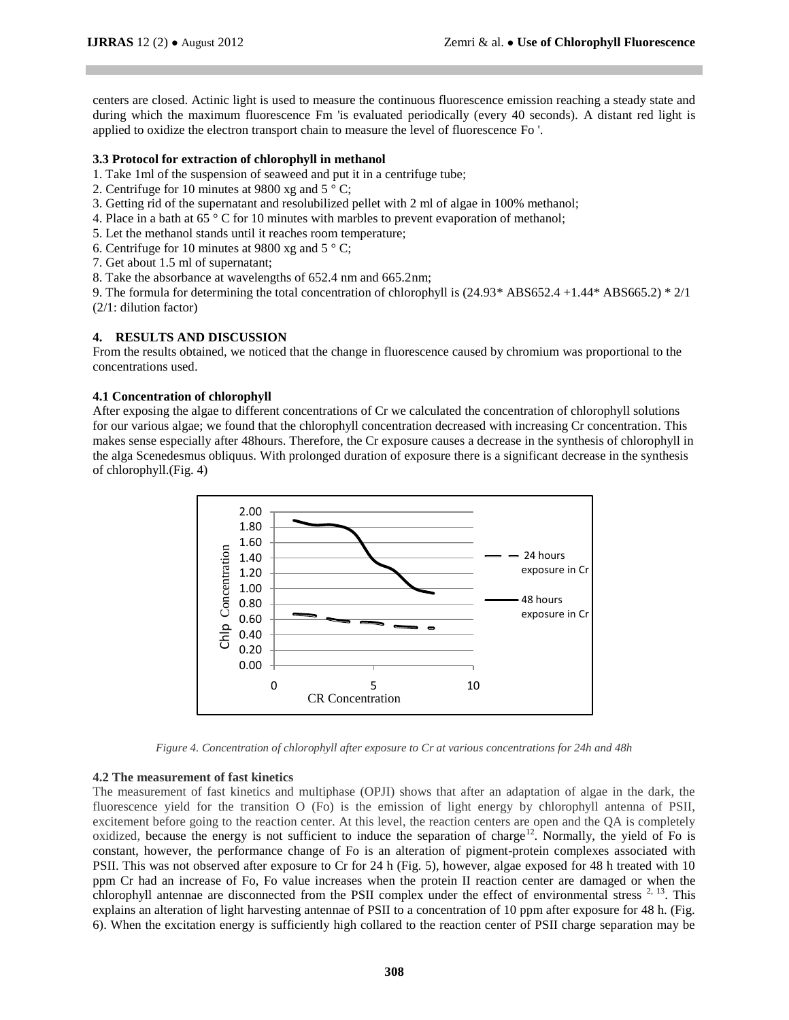centers are closed. Actinic light is used to measure the continuous fluorescence emission reaching a steady state and during which the maximum fluorescence Fm 'is evaluated periodically (every 40 seconds). A distant red light is applied to oxidize the electron transport chain to measure the level of fluorescence Fo '.

#### **3.3 Protocol for extraction of chlorophyll in methanol**

- 1. Take 1ml of the suspension of seaweed and put it in a centrifuge tube;
- 2. Centrifuge for 10 minutes at 9800 xg and 5 ° C;
- 3. Getting rid of the supernatant and resolubilized pellet with 2 ml of algae in 100% methanol;
- 4. Place in a bath at 65 ° C for 10 minutes with marbles to prevent evaporation of methanol;
- 5. Let the methanol stands until it reaches room temperature;
- 6. Centrifuge for 10 minutes at 9800 xg and  $5^{\circ}$  C;
- 7. Get about 1.5 ml of supernatant;
- 8. Take the absorbance at wavelengths of 652.4 nm and 665.2nm;

9. The formula for determining the total concentration of chlorophyll is (24.93\* ABS652.4 +1.44\* ABS665.2) \* 2/1 (2/1: dilution factor)

# **4. RESULTS AND DISCUSSION**

From the results obtained, we noticed that the change in fluorescence caused by chromium was proportional to the concentrations used.

#### **4.1 Concentration of chlorophyll**

After exposing the algae to different concentrations of Cr we calculated the concentration of chlorophyll solutions for our various algae; we found that the chlorophyll concentration decreased with increasing Cr concentration. This makes sense especially after 48hours. Therefore, the Cr exposure causes a decrease in the synthesis of chlorophyll in the alga Scenedesmus obliquus. With prolonged duration of exposure there is a significant decrease in the synthesis of chlorophyll.(Fig. 4)



*Figure 4. Concentration of chlorophyll after exposure to Cr at various concentrations for 24h and 48h*

#### **4.2 The measurement of fast kinetics**

The measurement of fast kinetics and multiphase (OPJI) shows that after an adaptation of algae in the dark, the fluorescence yield for the transition O (Fo) is the emission of light energy by chlorophyll antenna of PSII, excitement before going to the reaction center. At this level, the reaction centers are open and the QA is completely oxidized, because the energy is not sufficient to induce the separation of charge<sup>12</sup>. Normally, the yield of Fo is constant, however, the performance change of Fo is an alteration of pigment-protein complexes associated with PSII. This was not observed after exposure to Cr for 24 h (Fig. 5), however, algae exposed for 48 h treated with 10 ppm Cr had an increase of Fo, Fo value increases when the protein II reaction center are damaged or when the chlorophyll antennae are disconnected from the PSII complex under the effect of environmental stress  $2,13$ . This explains an alteration of light harvesting antennae of PSII to a concentration of 10 ppm after exposure for 48 h. (Fig. 6). When the excitation energy is sufficiently high collared to the reaction center of PSII charge separation may be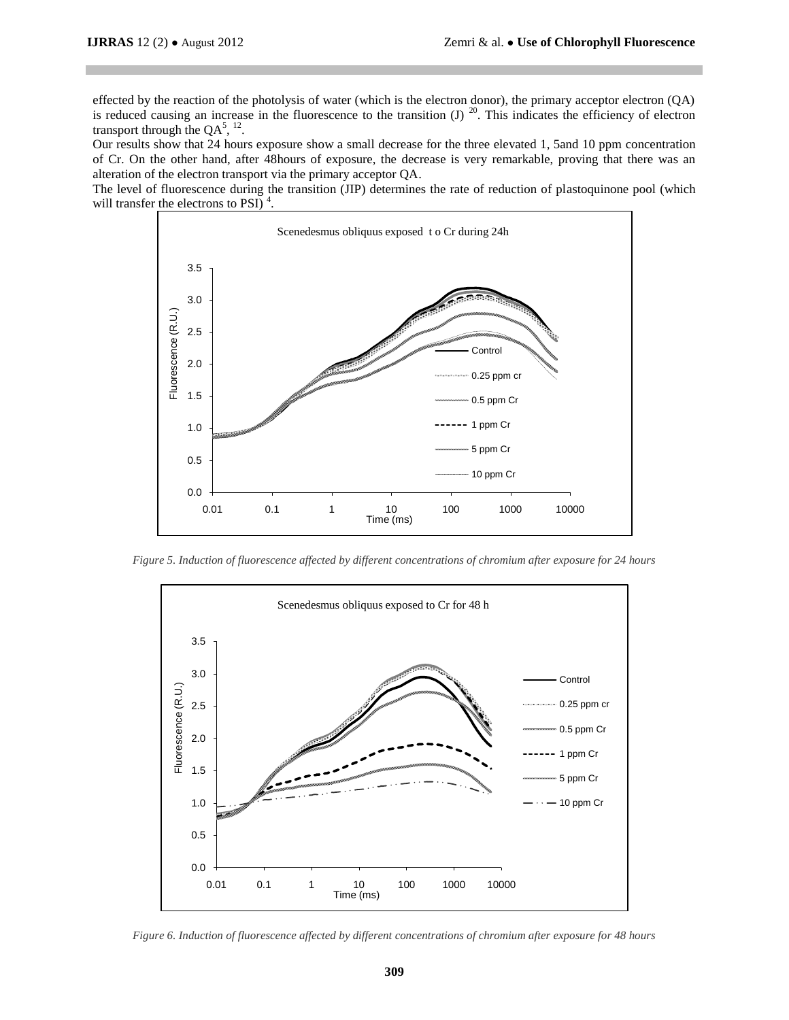effected by the reaction of the photolysis of water (which is the electron donor), the primary acceptor electron (QA) is reduced causing an increase in the fluorescence to the transition  $(J)$ <sup>20</sup>. This indicates the efficiency of electron transport through the  $QA^{5}$ ,  $^{12}$ .

Our results show that 24 hours exposure show a small decrease for the three elevated 1, 5and 10 ppm concentration of Cr. On the other hand, after 48hours of exposure, the decrease is very remarkable, proving that there was an alteration of the electron transport via the primary acceptor QA.

The level of fluorescence during the transition (JIP) determines the rate of reduction of plastoquinone pool (which will transfer the electrons to PSI) $<sup>4</sup>$ .</sup>



*Figure 5. Induction of fluorescence affected by different concentrations of chromium after exposure for 24 hours*



*Figure 6. Induction of fluorescence affected by different concentrations of chromium after exposure for 48 hours*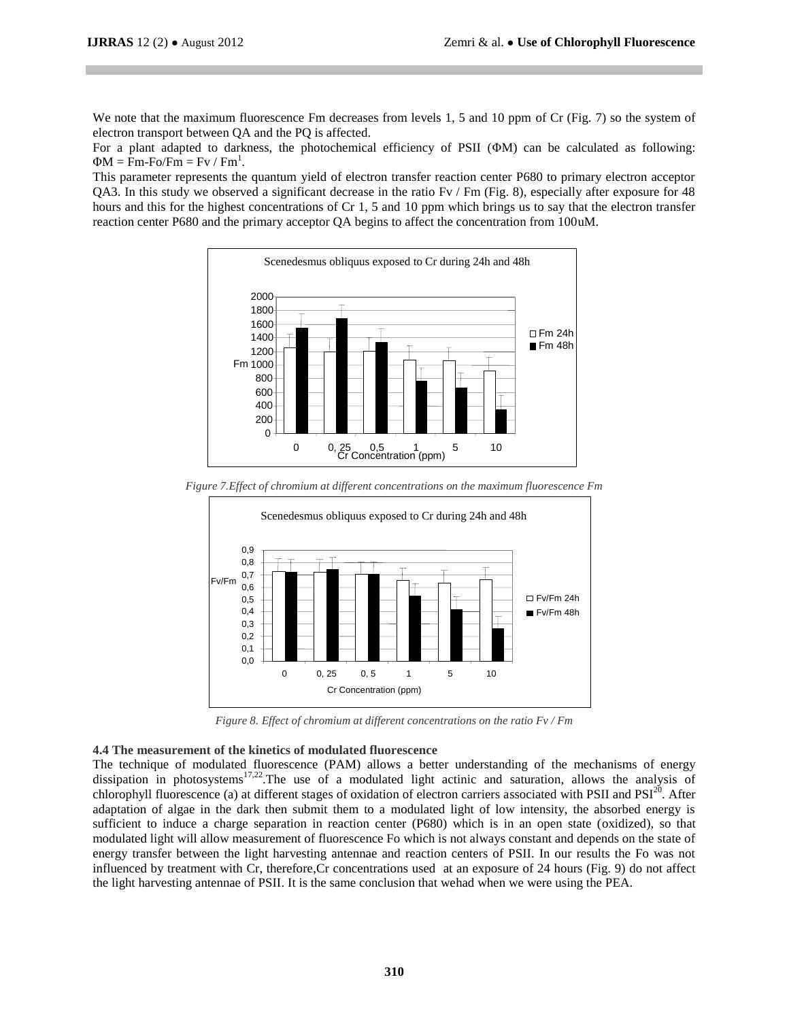We note that the maximum fluorescence Fm decreases from levels 1, 5 and 10 ppm of Cr (Fig. 7) so the system of electron transport between QA and the PQ is affected.

For a plant adapted to darkness, the photochemical efficiency of PSII (ΦM) can be calculated as following:  $\Phi M = Fm-Fo/Fm = Fv / Fm<sup>1</sup>.$ 

This parameter represents the quantum yield of electron transfer reaction center P680 to primary electron acceptor QA3. In this study we observed a significant decrease in the ratio Fv / Fm (Fig. 8), especially after exposure for 48 hours and this for the highest concentrations of Cr 1, 5 and 10 ppm which brings us to say that the electron transfer reaction center P680 and the primary acceptor QA begins to affect the concentration from 100uM.



*Figure 7.Effect of chromium at different concentrations on the maximum fluorescence Fm*



*Figure 8. Effect of chromium at different concentrations on the ratio Fv / Fm*

#### **4.4 The measurement of the kinetics of modulated fluorescence**

The technique of modulated fluorescence (PAM) allows a better understanding of the mechanisms of energy dissipation in photosystems<sup>17,22</sup>. The use of a modulated light actinic and saturation, allows the analysis of chlorophyll fluorescence (a) at different stages of oxidation of electron carriers associated with PSII and  $PSI^{20}$ . After adaptation of algae in the dark then submit them to a modulated light of low intensity, the absorbed energy is sufficient to induce a charge separation in reaction center (P680) which is in an open state (oxidized), so that modulated light will allow measurement of fluorescence Fo which is not always constant and depends on the state of energy transfer between the light harvesting antennae and reaction centers of PSII. In our results the Fo was not influenced by treatment with Cr, therefore,Cr concentrations used at an exposure of 24 hours (Fig. 9) do not affect the light harvesting antennae of PSII. It is the same conclusion that wehad when we were using the PEA.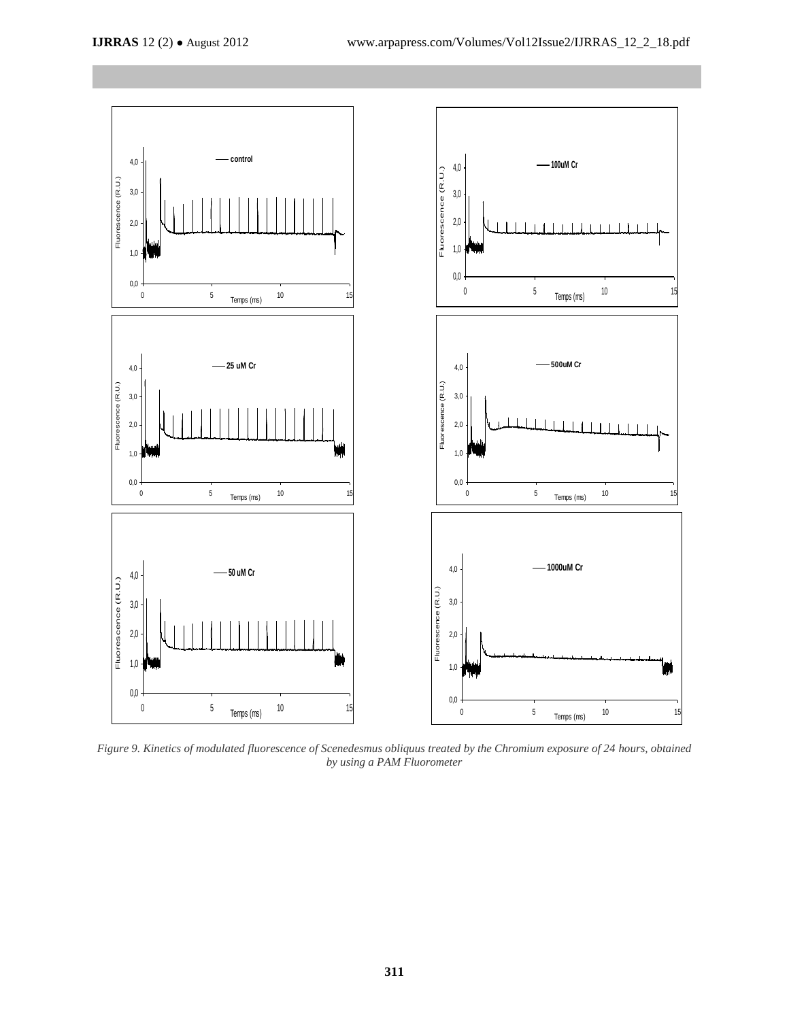

*Figure 9. Kinetics of modulated fluorescence of Scenedesmus obliquus treated by the Chromium exposure of 24 hours, obtained by using a PAM Fluorometer*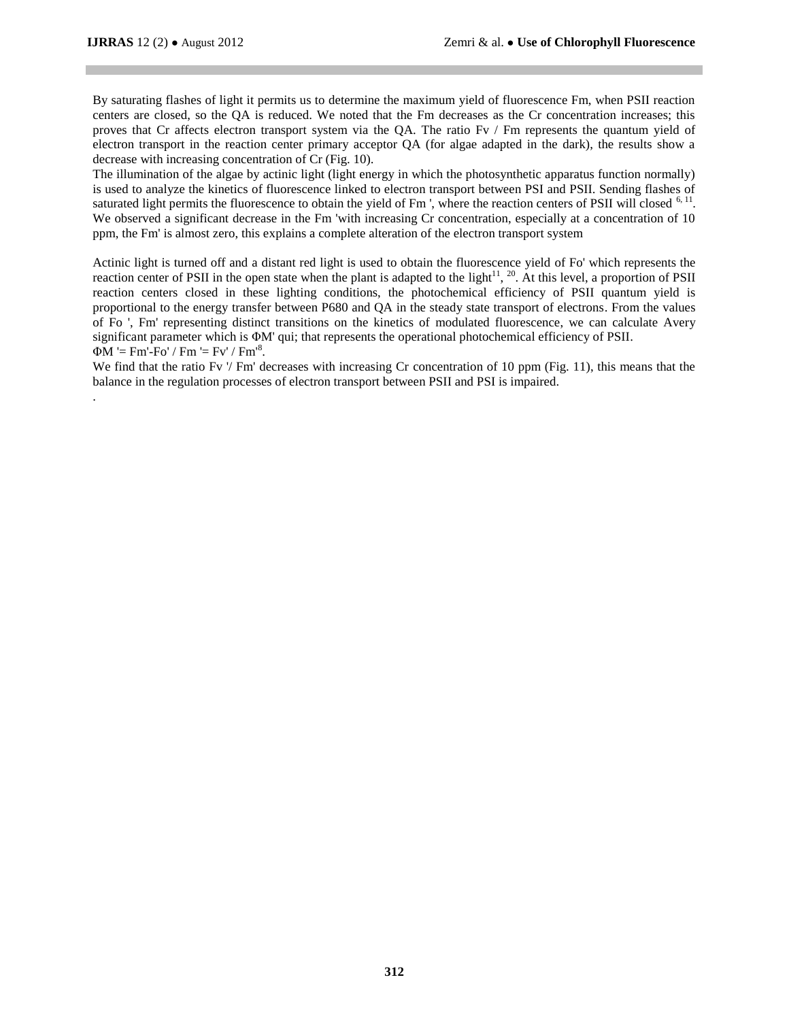.

By saturating flashes of light it permits us to determine the maximum yield of fluorescence Fm, when PSII reaction centers are closed, so the QA is reduced. We noted that the Fm decreases as the Cr concentration increases; this proves that Cr affects electron transport system via the QA. The ratio Fv / Fm represents the quantum yield of electron transport in the reaction center primary acceptor QA (for algae adapted in the dark), the results show a decrease with increasing concentration of Cr (Fig. 10).

The illumination of the algae by actinic light (light energy in which the photosynthetic apparatus function normally) is used to analyze the kinetics of fluorescence linked to electron transport between PSI and PSII. Sending flashes of saturated light permits the fluorescence to obtain the yield of Fm ', where the reaction centers of PSII will closed  $6, 11$ . We observed a significant decrease in the Fm 'with increasing Cr concentration, especially at a concentration of 10 ppm, the Fm' is almost zero, this explains a complete alteration of the electron transport system

Actinic light is turned off and a distant red light is used to obtain the fluorescence yield of Fo' which represents the reaction center of PSII in the open state when the plant is adapted to the light<sup>11</sup>, <sup>20</sup>. At this level, a proportion of PSII reaction centers closed in these lighting conditions, the photochemical efficiency of PSII quantum yield is proportional to the energy transfer between P680 and QA in the steady state transport of electrons. From the values of Fo ', Fm' representing distinct transitions on the kinetics of modulated fluorescence, we can calculate Avery significant parameter which is ΦM' qui; that represents the operational photochemical efficiency of PSII.  $\Phi M$  '= Fm'-Fo' / Fm '= Fv' / Fm'<sup>8</sup>.

We find that the ratio Fv  $/$  Fm' decreases with increasing Cr concentration of 10 ppm (Fig. 11), this means that the balance in the regulation processes of electron transport between PSII and PSI is impaired.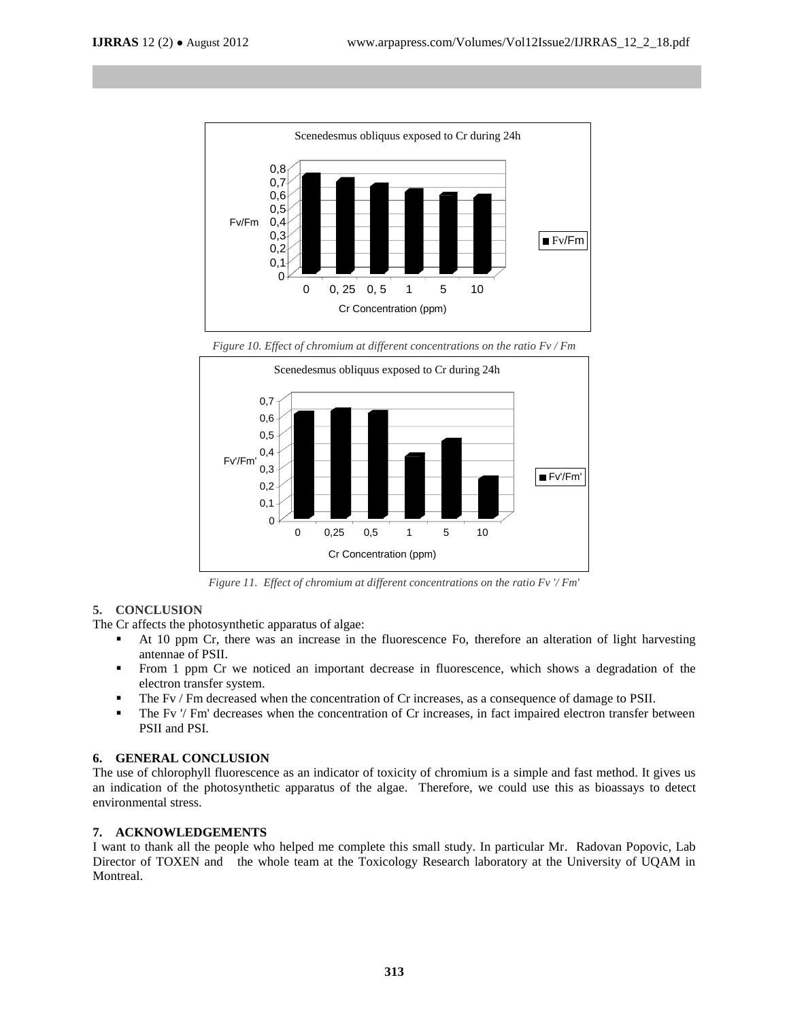

*Figure 10. Effect of chromium at different concentrations on the ratio Fv / Fm*



*Figure 11. Effect of chromium at different concentrations on the ratio Fv '/ Fm'*

# **5. CONCLUSION**

The Cr affects the photosynthetic apparatus of algae:

- At 10 ppm Cr, there was an increase in the fluorescence Fo, therefore an alteration of light harvesting antennae of PSII.
- From 1 ppm Cr we noticed an important decrease in fluorescence, which shows a degradation of the electron transfer system.
- The Fv / Fm decreased when the concentration of Cr increases, as a consequence of damage to PSII.
- The Fv '/ Fm' decreases when the concentration of Cr increases, in fact impaired electron transfer between PSII and PSI.

# **6. GENERAL CONCLUSION**

The use of chlorophyll fluorescence as an indicator of toxicity of chromium is a simple and fast method. It gives us an indication of the photosynthetic apparatus of the algae. Therefore, we could use this as bioassays to detect environmental stress.

# **7. ACKNOWLEDGEMENTS**

I want to thank all the people who helped me complete this small study. In particular Mr. Radovan Popovic, Lab Director of TOXEN and the whole team at the Toxicology Research laboratory at the University of UQAM in Montreal.